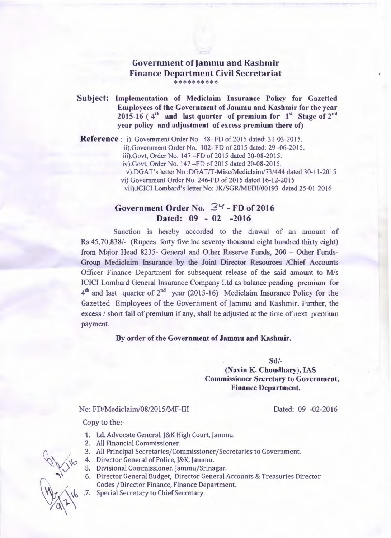## Government of Jammu and Kashmir Finance Department Civil Secretariat \*\*\*\*\*\*\*\*\*

Subject: Implementation of Mediclaim Insurance Policy for Gazetted Employees of the Government of Jammu and Kashmir for the year 2015-16 ( $4<sup>th</sup>$  and last quarter of premium for  $1<sup>st</sup>$  Stage of  $2<sup>nd</sup>$ year policy and adjustment of excess premium there of)

Reference :- i). Government Order No. 48- FD of 2015 dated: 31-03-2015.

ii).Government Order No. 102- FD of 2015 dated: 29 -06-2015.

iii).Govt, Order No. 147 - FD of 2015 dated 20-08-2015.

iv).Govt, Order No. 147 -FD of 2015 dated 20-08-2015.

v).DGAT's letter No :DGAT/T-Misc/Mediclaim/73/444 dated 30-11-2015

vi) Government Order No. 246-FD of 2015 dated 16-12-2015

vii).ICICI Lombard's letter No: JK/SGR/MEDl/00193 dated 25-01-2016

## Government Order No. 34 - FD of 2016 Dated: 09 - 02 -2016

Sanction is hereby accorded to the drawal of an amount of Rs.45,70,838/- (Rupees forty five lac seventy thousand eight hundred thirty eight) from Major Head 8235- General and Other Reserve Funds, 200 - Other Funds-Group Mediclaim Insurance by the Joint Director Resources /Chief Accounts Officer Finance Department for subsequent release of the said amount to M/s ICICI Lombard General Insurance Company Ltd as balance pending premium for  $4<sup>th</sup>$  and last quarter of  $2<sup>nd</sup>$  year (2015-16) Mediclaim Insurance Policy for the Gazetted Employees of the Government of Jammu and Kashmir. Further, the excess / short fall of premium if any, shall be adjusted at the time of next premium payment.

## By order of the Government of Jammu and Kashmir.

Sd/- (Navin K. Choudhary), IAS Commissioner Secretary to Government, Finance Department.

No: FD/Mediclaim/08/2015/MF-III

Dated: 09 -02-2016

Copy to the:-

- 1. Ld. Advocate General, J&K High Court, Jammu.
- 2. All Financial Commissioner.
- 3. All Principal Secretaries/Commissioner /Secretaries to Government.
- 4. Director General of Police, J&K, Jammu.
- 5. Divisional Commissioner, Jammu/Srinagar.
- 6. Director General Budget, Director General Accounts & Treasuries Director Codes /Director Finance, Finance Department.
- . 7. Special Secretary to Chief Secretary.

 $4.1^{16}$  $\sqrt{a^2}$